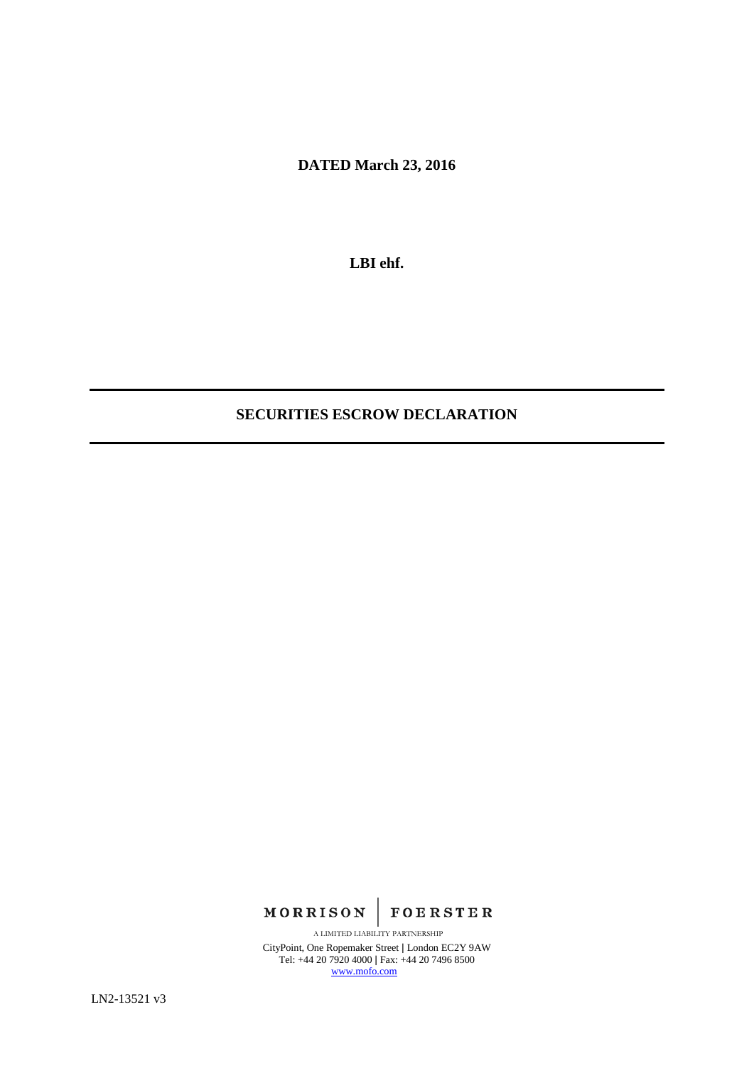**DATED March 23, 2016**

**LBI ehf.**

# **SECURITIES ESCROW DECLARATION**

**MORRISON FOERSTER** 

CityPoint, One Ropemaker Street | London EC2Y 9AW Tel: +44 20 7920 4000 | Fax: +44 20 7496 8500 [www.mofo.com](http://www.mofo.com/) A LIMITED LIABILITY PARTNERSHIP

LN2-13521 v3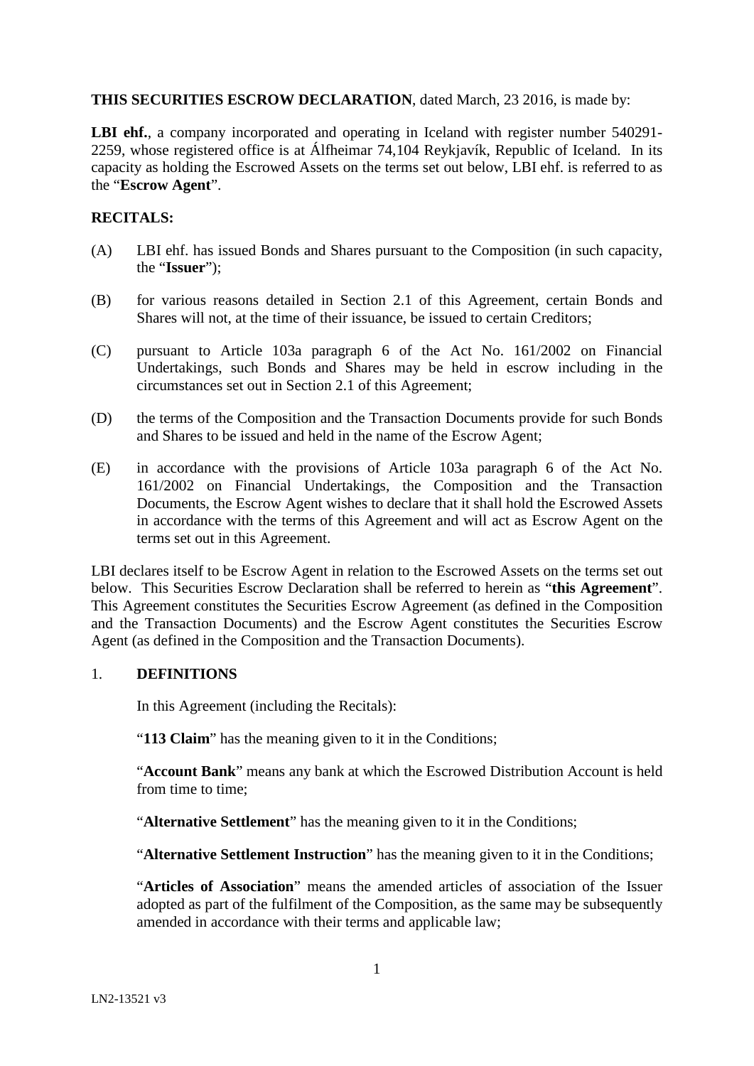## **THIS SECURITIES ESCROW DECLARATION**, dated March, 23 2016, is made by:

LBI ehf., a company incorporated and operating in Iceland with register number 540291-2259, whose registered office is at Álfheimar 74,104 Reykjavík, Republic of Iceland. In its capacity as holding the Escrowed Assets on the terms set out below, LBI ehf. is referred to as the "**Escrow Agent**".

## **RECITALS:**

- (A) LBI ehf. has issued Bonds and Shares pursuant to the Composition (in such capacity, the "**Issuer**");
- (B) for various reasons detailed in Section [2.1](#page-4-0) of this Agreement, certain Bonds and Shares will not, at the time of their issuance, be issued to certain Creditors;
- (C) pursuant to Article 103a paragraph 6 of the Act No. 161/2002 on Financial Undertakings, such Bonds and Shares may be held in escrow including in the circumstances set out in Section 2.1 of this Agreement;
- (D) the terms of the Composition and the Transaction Documents provide for such Bonds and Shares to be issued and held in the name of the Escrow Agent;
- (E) in accordance with the provisions of Article 103a paragraph 6 of the Act No. 161/2002 on Financial Undertakings, the Composition and the Transaction Documents, the Escrow Agent wishes to declare that it shall hold the Escrowed Assets in accordance with the terms of this Agreement and will act as Escrow Agent on the terms set out in this Agreement.

LBI declares itself to be Escrow Agent in relation to the Escrowed Assets on the terms set out below. This Securities Escrow Declaration shall be referred to herein as "**this Agreement**". This Agreement constitutes the Securities Escrow Agreement (as defined in the Composition and the Transaction Documents) and the Escrow Agent constitutes the Securities Escrow Agent (as defined in the Composition and the Transaction Documents).

### 1. **DEFINITIONS**

In this Agreement (including the Recitals):

"**113 Claim**" has the meaning given to it in the Conditions;

"**Account Bank**" means any bank at which the Escrowed Distribution Account is held from time to time;

"**Alternative Settlement**" has the meaning given to it in the Conditions;

"**Alternative Settlement Instruction**" has the meaning given to it in the Conditions;

"**Articles of Association**" means the amended articles of association of the Issuer adopted as part of the fulfilment of the Composition, as the same may be subsequently amended in accordance with their terms and applicable law;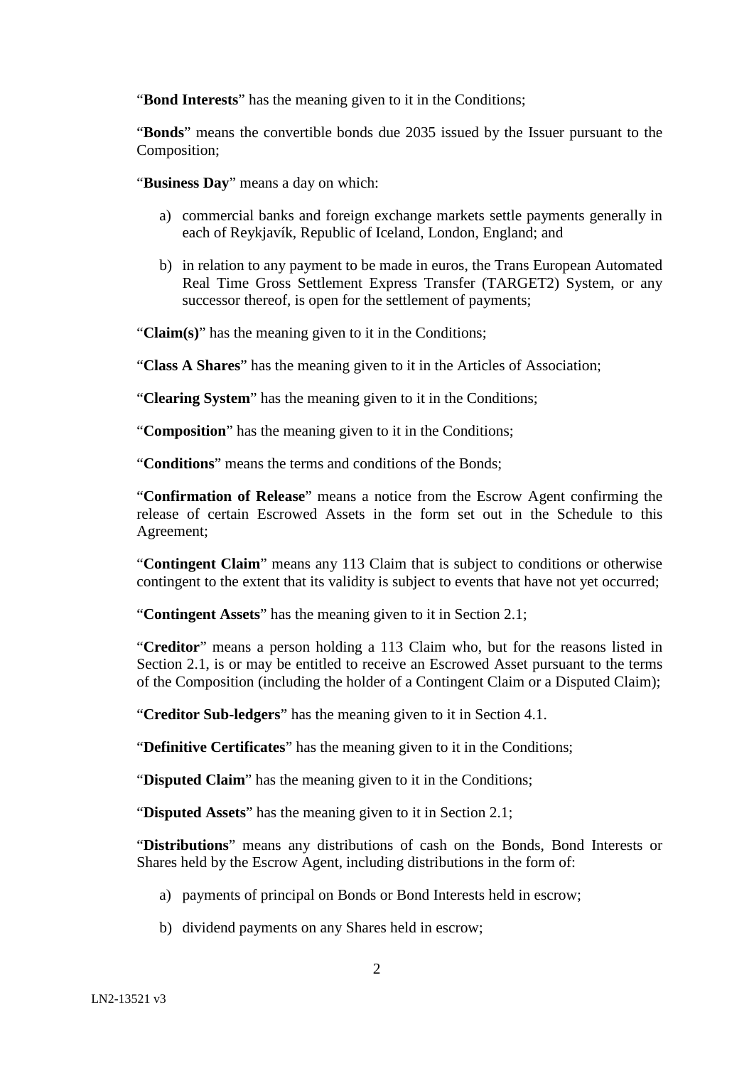"**Bond Interests**" has the meaning given to it in the Conditions;

"**Bonds**" means the convertible bonds due 2035 issued by the Issuer pursuant to the Composition;

"**Business Day**" means a day on which:

- a) commercial banks and foreign exchange markets settle payments generally in each of Reykjavík, Republic of Iceland, London, England; and
- b) in relation to any payment to be made in euros, the Trans European Automated Real Time Gross Settlement Express Transfer (TARGET2) System, or any successor thereof, is open for the settlement of payments;

"**Claim(s)**" has the meaning given to it in the Conditions;

"**Class A Shares**" has the meaning given to it in the Articles of Association;

"**Clearing System**" has the meaning given to it in the Conditions;

"**Composition**" has the meaning given to it in the Conditions;

"**Conditions**" means the terms and conditions of the Bonds;

"**Confirmation of Release**" means a notice from the Escrow Agent confirming the release of certain Escrowed Assets in the form set out in the Schedule to this Agreement;

"**Contingent Claim**" means any 113 Claim that is subject to conditions or otherwise contingent to the extent that its validity is subject to events that have not yet occurred;

"**Contingent Assets**" has the meaning given to it in Section [2.1;](#page-4-0)

"**Creditor**" means a person holding a 113 Claim who, but for the reasons listed in Section [2.1,](#page-4-0) is or may be entitled to receive an Escrowed Asset pursuant to the terms of the Composition (including the holder of a Contingent Claim or a Disputed Claim);

"**Creditor Sub-ledgers**" has the meaning given to it in Section [4.1.](#page-6-0)

"**Definitive Certificates**" has the meaning given to it in the Conditions;

"**Disputed Claim**" has the meaning given to it in the Conditions;

"**Disputed Assets**" has the meaning given to it in Section [2.1;](#page-4-0)

"**Distributions**" means any distributions of cash on the Bonds, Bond Interests or Shares held by the Escrow Agent, including distributions in the form of:

- a) payments of principal on Bonds or Bond Interests held in escrow;
- b) dividend payments on any Shares held in escrow;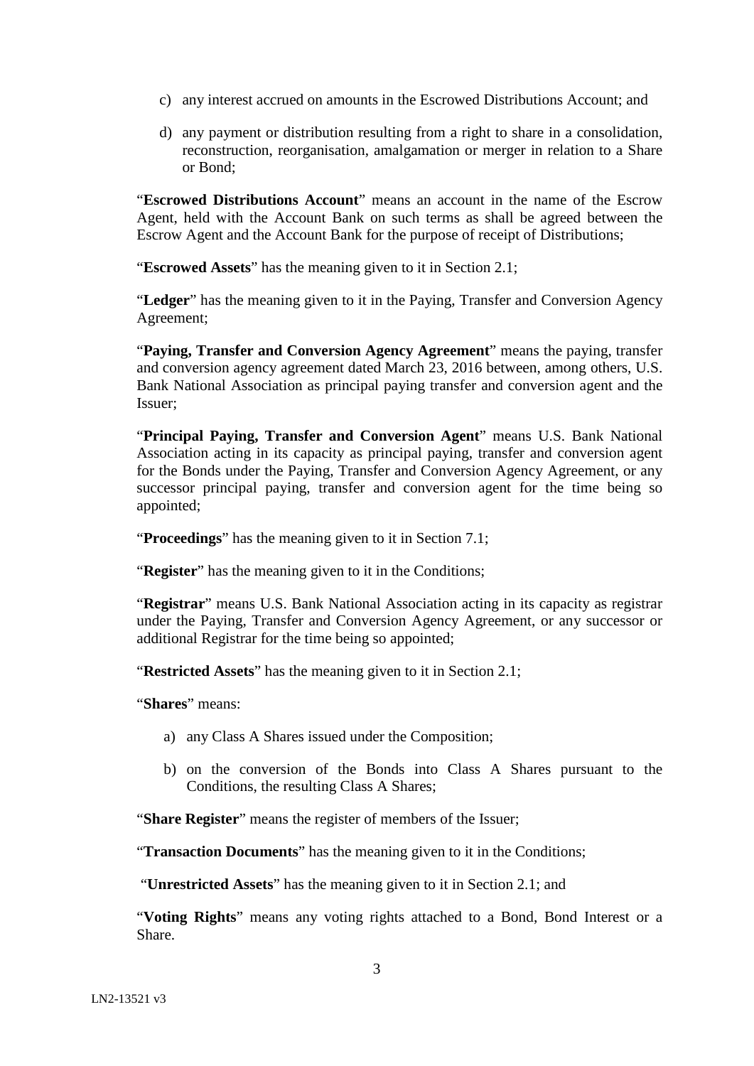- c) any interest accrued on amounts in the Escrowed Distributions Account; and
- d) any payment or distribution resulting from a right to share in a consolidation, reconstruction, reorganisation, amalgamation or merger in relation to a Share or Bond;

"**Escrowed Distributions Account**" means an account in the name of the Escrow Agent, held with the Account Bank on such terms as shall be agreed between the Escrow Agent and the Account Bank for the purpose of receipt of Distributions;

"**Escrowed Assets**" has the meaning given to it in Section [2.1;](#page-4-0)

"**Ledger**" has the meaning given to it in the Paying, Transfer and Conversion Agency Agreement;

"**Paying, Transfer and Conversion Agency Agreement**" means the paying, transfer and conversion agency agreement dated March 23, 2016 between, among others, U.S. Bank National Association as principal paying transfer and conversion agent and the Issuer;

"**Principal Paying, Transfer and Conversion Agent**" means U.S. Bank National Association acting in its capacity as principal paying, transfer and conversion agent for the Bonds under the Paying, Transfer and Conversion Agency Agreement, or any successor principal paying, transfer and conversion agent for the time being so appointed;

"**Proceedings**" has the meaning given to it in Section [7.1;](#page-9-0)

"**Register**" has the meaning given to it in the Conditions;

"**Registrar**" means U.S. Bank National Association acting in its capacity as registrar under the Paying, Transfer and Conversion Agency Agreement, or any successor or additional Registrar for the time being so appointed;

"**Restricted Assets**" has the meaning given to it in Section [2.1;](#page-4-0)

"**Shares**" means:

- a) any Class A Shares issued under the Composition;
- b) on the conversion of the Bonds into Class A Shares pursuant to the Conditions, the resulting Class A Shares;

"**Share Register**" means the register of members of the Issuer;

"**Transaction Documents**" has the meaning given to it in the Conditions;

"**Unrestricted Assets**" has the meaning given to it in Section [2.1;](#page-4-0) and

"**Voting Rights**" means any voting rights attached to a Bond, Bond Interest or a Share.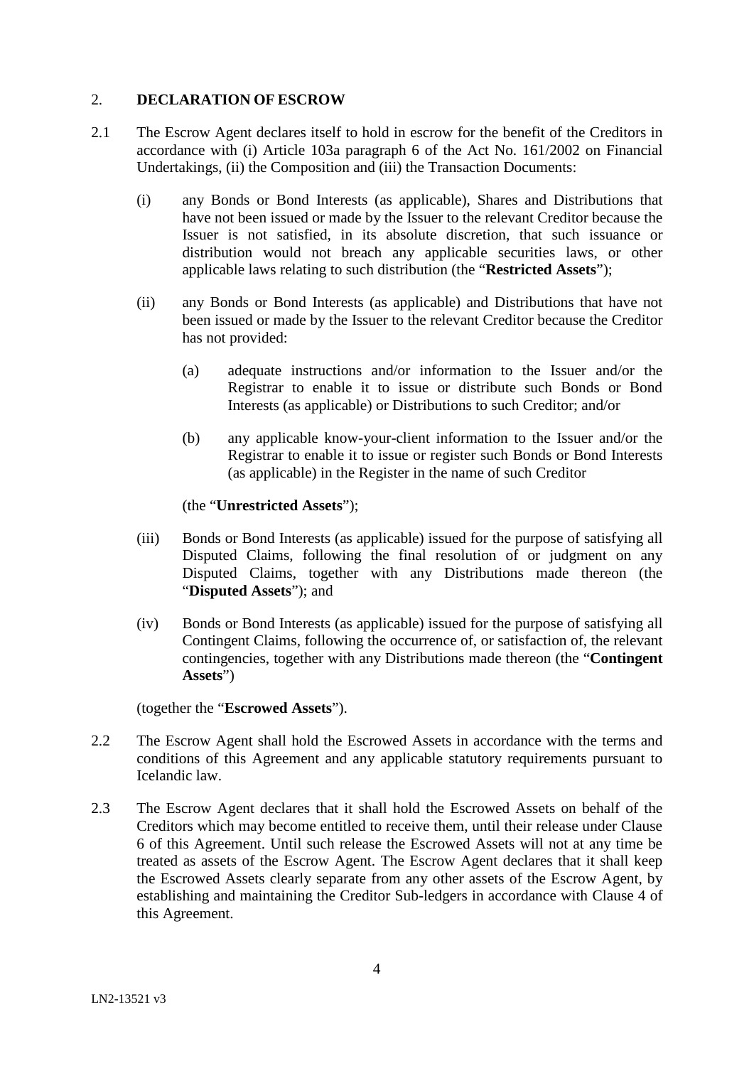## 2. **DECLARATION OF ESCROW**

- <span id="page-4-0"></span>2.1 The Escrow Agent declares itself to hold in escrow for the benefit of the Creditors in accordance with (i) Article 103a paragraph 6 of the Act No. 161/2002 on Financial Undertakings, (ii) the Composition and (iii) the Transaction Documents:
	- (i) any Bonds or Bond Interests (as applicable), Shares and Distributions that have not been issued or made by the Issuer to the relevant Creditor because the Issuer is not satisfied, in its absolute discretion, that such issuance or distribution would not breach any applicable securities laws, or other applicable laws relating to such distribution (the "**Restricted Assets**");
	- (ii) any Bonds or Bond Interests (as applicable) and Distributions that have not been issued or made by the Issuer to the relevant Creditor because the Creditor has not provided:
		- (a) adequate instructions and/or information to the Issuer and/or the Registrar to enable it to issue or distribute such Bonds or Bond Interests (as applicable) or Distributions to such Creditor; and/or
		- (b) any applicable know-your-client information to the Issuer and/or the Registrar to enable it to issue or register such Bonds or Bond Interests (as applicable) in the Register in the name of such Creditor

(the "**Unrestricted Assets**");

- (iii) Bonds or Bond Interests (as applicable) issued for the purpose of satisfying all Disputed Claims, following the final resolution of or judgment on any Disputed Claims, together with any Distributions made thereon (the "**Disputed Assets**"); and
- (iv) Bonds or Bond Interests (as applicable) issued for the purpose of satisfying all Contingent Claims, following the occurrence of, or satisfaction of, the relevant contingencies, together with any Distributions made thereon (the "**Contingent Assets**")

(together the "**Escrowed Assets**").

- 2.2 The Escrow Agent shall hold the Escrowed Assets in accordance with the terms and conditions of this Agreement and any applicable statutory requirements pursuant to Icelandic law.
- 2.3 The Escrow Agent declares that it shall hold the Escrowed Assets on behalf of the Creditors which may become entitled to receive them, until their release under Clause 6 of this Agreement. Until such release the Escrowed Assets will not at any time be treated as assets of the Escrow Agent. The Escrow Agent declares that it shall keep the Escrowed Assets clearly separate from any other assets of the Escrow Agent, by establishing and maintaining the Creditor Sub-ledgers in accordance with Clause 4 of this Agreement.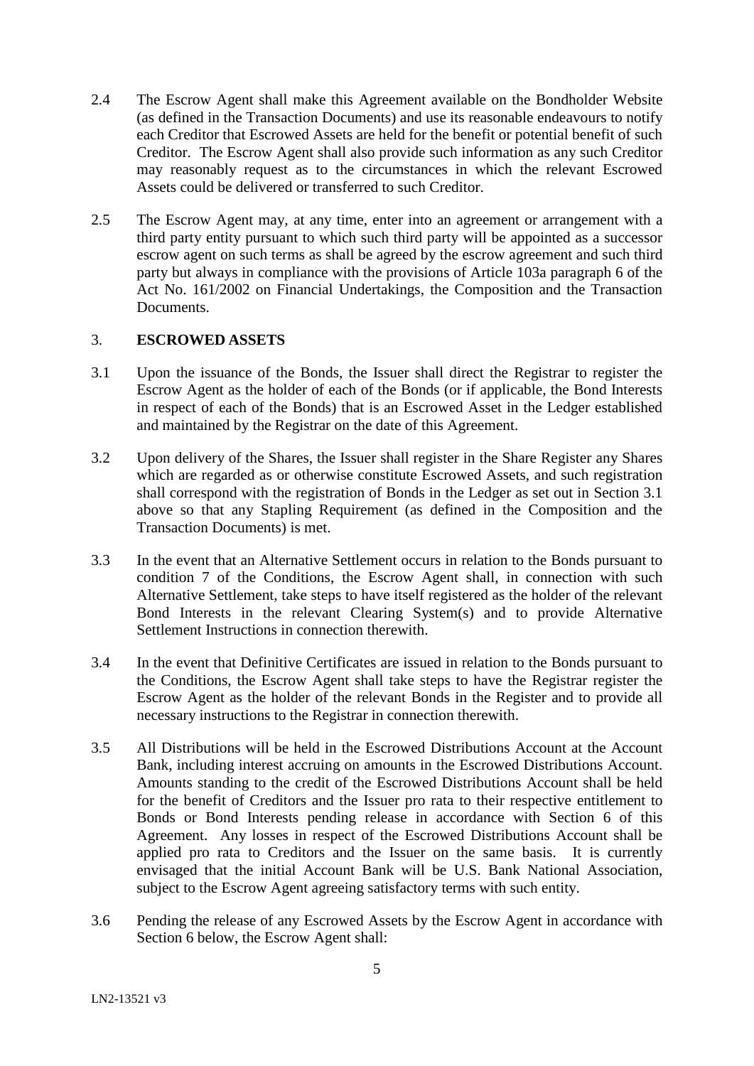- 2.4 The Escrow Agent shall make this Agreement available on the Bondholder Website (as defined in the Transaction Documents) and use its reasonable endeavours to notify each Creditor that Escrowed Assets are held for the benefit or potential benefit of such Creditor. The Escrow Agent shall also provide such information as any such Creditor may reasonably request as to the circumstances in which the relevant Escrowed Assets could be delivered or transferred to such Creditor.
- 2.5 The Escrow Agent may, at any time, enter into an agreement or arrangement with a third party entity pursuant to which such third party will be appointed as a successor escrow agent on such terms as shall be agreed by the escrow agreement and such third party but always in compliance with the provisions of Article 103a paragraph 6 of the Act No. 161/2002 on Financial Undertakings, the Composition and the Transaction Documents.

## 3. **ESCROWED ASSETS**

- 3.1 Upon the issuance of the Bonds, the Issuer shall direct the Registrar to register the Escrow Agent as the holder of each of the Bonds (or if applicable, the Bond Interests in respect of each of the Bonds) that is an Escrowed Asset in the Ledger established and maintained by the Registrar on the date of this Agreement.
- 3.2 Upon delivery of the Shares, the Issuer shall register in the Share Register any Shares which are regarded as or otherwise constitute Escrowed Assets, and such registration shall correspond with the registration of Bonds in the Ledger as set out in Section 3.1 above so that any Stapling Requirement (as defined in the Composition and the Transaction Documents) is met.
- 3.3 In the event that an Alternative Settlement occurs in relation to the Bonds pursuant to condition 7 of the Conditions, the Escrow Agent shall, in connection with such Alternative Settlement, take steps to have itself registered as the holder of the relevant Bond Interests in the relevant Clearing System(s) and to provide Alternative Settlement Instructions in connection therewith.
- 3.4 In the event that Definitive Certificates are issued in relation to the Bonds pursuant to the Conditions, the Escrow Agent shall take steps to have the Registrar register the Escrow Agent as the holder of the relevant Bonds in the Register and to provide all necessary instructions to the Registrar in connection therewith.
- 3.5 All Distributions will be held in the Escrowed Distributions Account at the Account Bank, including interest accruing on amounts in the Escrowed Distributions Account. Amounts standing to the credit of the Escrowed Distributions Account shall be held for the benefit of Creditors and the Issuer pro rata to their respective entitlement to Bonds or Bond Interests pending release in accordance with Section 6 of this Agreement. Any losses in respect of the Escrowed Distributions Account shall be applied pro rata to Creditors and the Issuer on the same basis. It is currently envisaged that the initial Account Bank will be U.S. Bank National Association, subject to the Escrow Agent agreeing satisfactory terms with such entity.
- 3.6 Pending the release of any Escrowed Assets by the Escrow Agent in accordance with Section [6](#page-6-1) below, the Escrow Agent shall: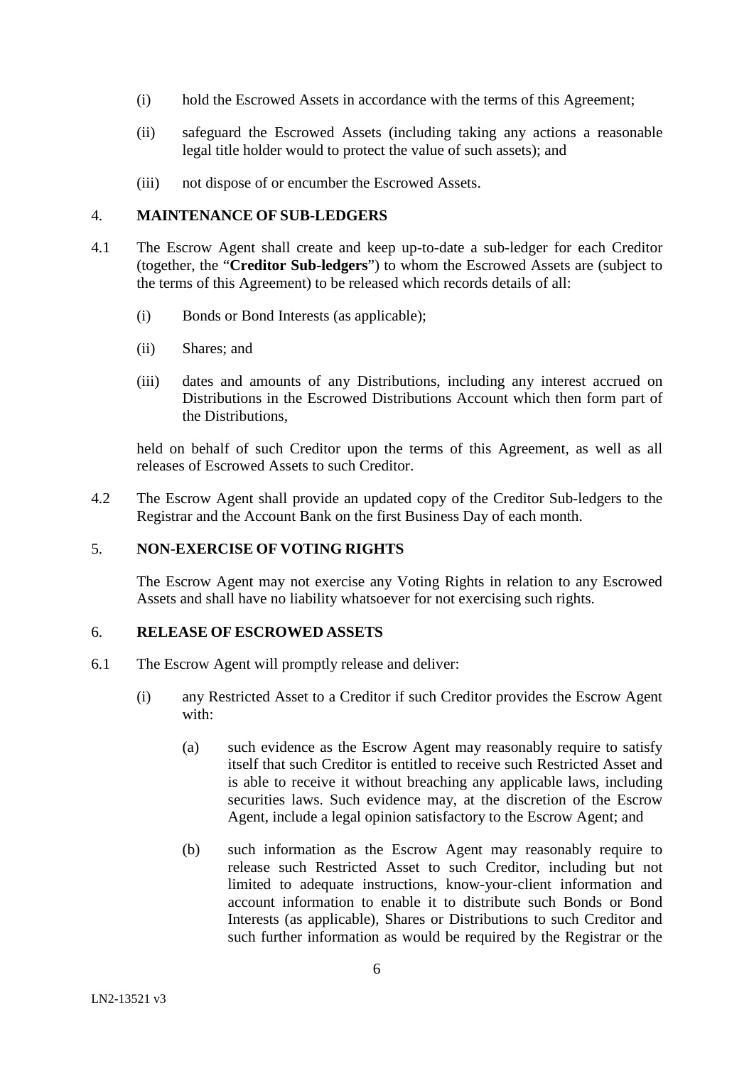- (i) hold the Escrowed Assets in accordance with the terms of this Agreement;
- (ii) safeguard the Escrowed Assets (including taking any actions a reasonable legal title holder would to protect the value of such assets); and
- (iii) not dispose of or encumber the Escrowed Assets.

#### 4. **MAINTENANCE OF SUB-LEDGERS**

- <span id="page-6-0"></span>4.1 The Escrow Agent shall create and keep up-to-date a sub-ledger for each Creditor (together, the "**Creditor Sub-ledgers**") to whom the Escrowed Assets are (subject to the terms of this Agreement) to be released which records details of all:
	- (i) Bonds or Bond Interests (as applicable);
	- (ii) Shares; and
	- (iii) dates and amounts of any Distributions, including any interest accrued on Distributions in the Escrowed Distributions Account which then form part of the Distributions,

held on behalf of such Creditor upon the terms of this Agreement, as well as all releases of Escrowed Assets to such Creditor.

4.2 The Escrow Agent shall provide an updated copy of the Creditor Sub-ledgers to the Registrar and the Account Bank on the first Business Day of each month.

## 5. **NON**-**EXERCISE OF VOTING RIGHTS**

The Escrow Agent may not exercise any Voting Rights in relation to any Escrowed Assets and shall have no liability whatsoever for not exercising such rights.

#### <span id="page-6-1"></span>6. **RELEASE OF ESCROWED ASSETS**

- <span id="page-6-2"></span>6.1 The Escrow Agent will promptly release and deliver:
	- (i) any Restricted Asset to a Creditor if such Creditor provides the Escrow Agent with:
		- (a) such evidence as the Escrow Agent may reasonably require to satisfy itself that such Creditor is entitled to receive such Restricted Asset and is able to receive it without breaching any applicable laws, including securities laws. Such evidence may, at the discretion of the Escrow Agent, include a legal opinion satisfactory to the Escrow Agent; and
		- (b) such information as the Escrow Agent may reasonably require to release such Restricted Asset to such Creditor, including but not limited to adequate instructions, know-your-client information and account information to enable it to distribute such Bonds or Bond Interests (as applicable), Shares or Distributions to such Creditor and such further information as would be required by the Registrar or the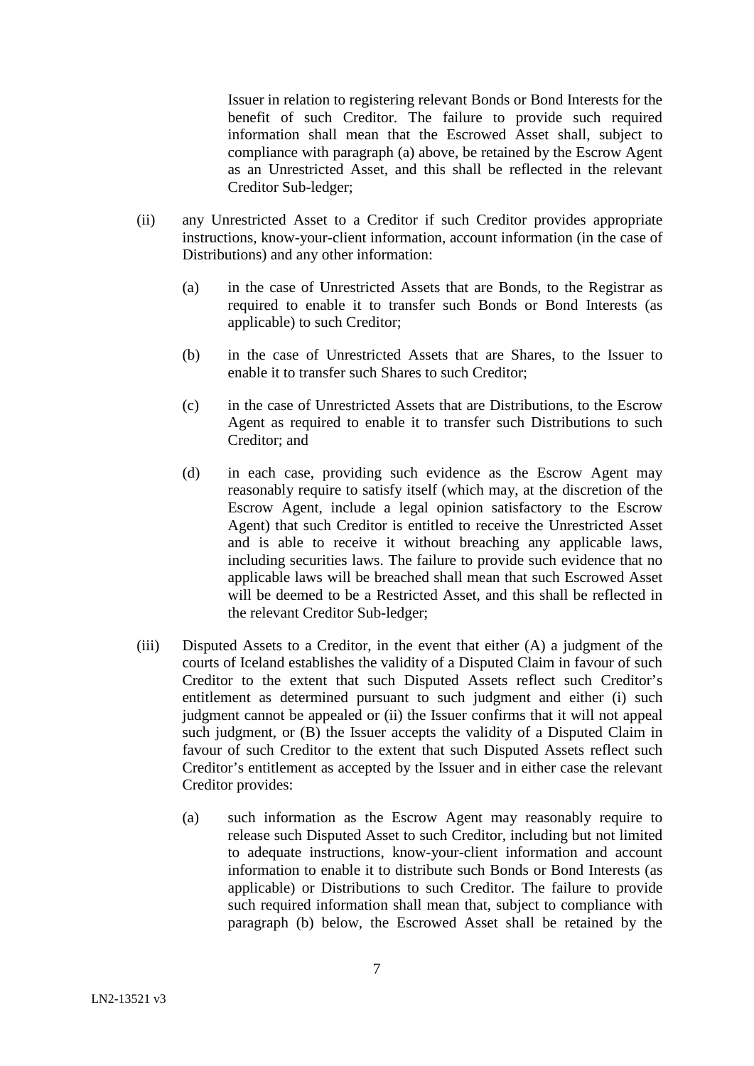Issuer in relation to registering relevant Bonds or Bond Interests for the benefit of such Creditor. The failure to provide such required information shall mean that the Escrowed Asset shall, subject to compliance with paragraph (a) above, be retained by the Escrow Agent as an Unrestricted Asset, and this shall be reflected in the relevant Creditor Sub-ledger;

- (ii) any Unrestricted Asset to a Creditor if such Creditor provides appropriate instructions, know-your-client information, account information (in the case of Distributions) and any other information:
	- (a) in the case of Unrestricted Assets that are Bonds, to the Registrar as required to enable it to transfer such Bonds or Bond Interests (as applicable) to such Creditor;
	- (b) in the case of Unrestricted Assets that are Shares, to the Issuer to enable it to transfer such Shares to such Creditor;
	- (c) in the case of Unrestricted Assets that are Distributions, to the Escrow Agent as required to enable it to transfer such Distributions to such Creditor; and
	- (d) in each case, providing such evidence as the Escrow Agent may reasonably require to satisfy itself (which may, at the discretion of the Escrow Agent, include a legal opinion satisfactory to the Escrow Agent) that such Creditor is entitled to receive the Unrestricted Asset and is able to receive it without breaching any applicable laws, including securities laws. The failure to provide such evidence that no applicable laws will be breached shall mean that such Escrowed Asset will be deemed to be a Restricted Asset, and this shall be reflected in the relevant Creditor Sub-ledger;
- <span id="page-7-0"></span>(iii) Disputed Assets to a Creditor, in the event that either (A) a judgment of the courts of Iceland establishes the validity of a Disputed Claim in favour of such Creditor to the extent that such Disputed Assets reflect such Creditor's entitlement as determined pursuant to such judgment and either (i) such judgment cannot be appealed or (ii) the Issuer confirms that it will not appeal such judgment, or (B) the Issuer accepts the validity of a Disputed Claim in favour of such Creditor to the extent that such Disputed Assets reflect such Creditor's entitlement as accepted by the Issuer and in either case the relevant Creditor provides:
	- (a) such information as the Escrow Agent may reasonably require to release such Disputed Asset to such Creditor, including but not limited to adequate instructions, know-your-client information and account information to enable it to distribute such Bonds or Bond Interests (as applicable) or Distributions to such Creditor. The failure to provide such required information shall mean that, subject to compliance with paragraph (b) below, the Escrowed Asset shall be retained by the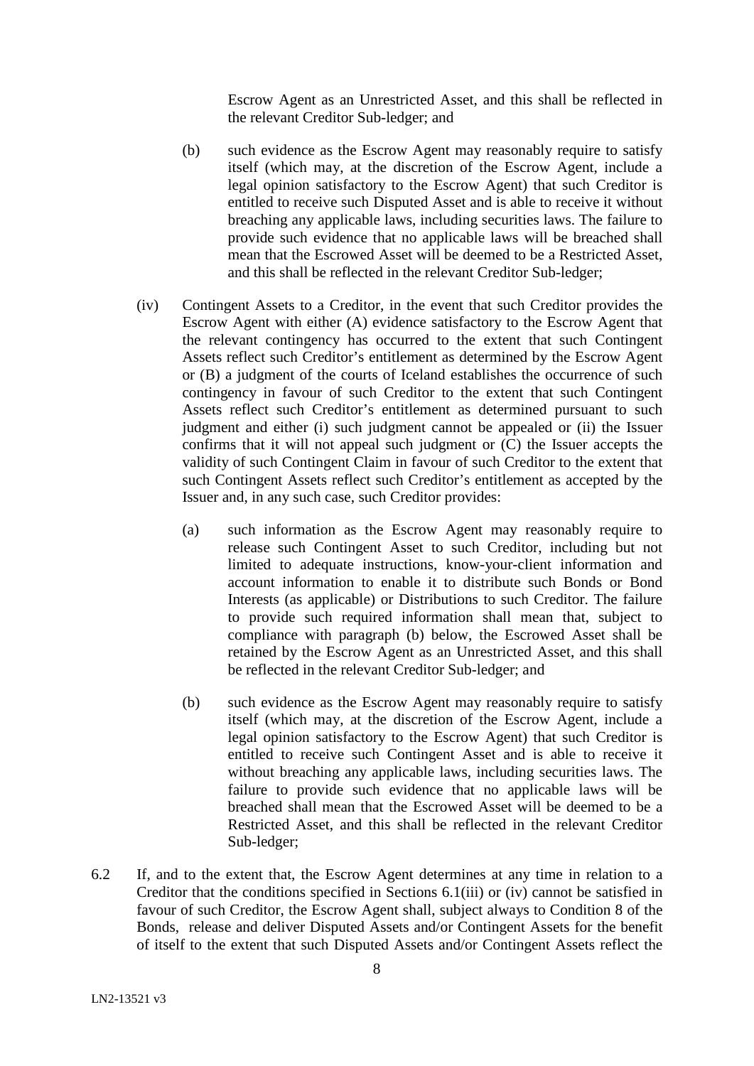Escrow Agent as an Unrestricted Asset, and this shall be reflected in the relevant Creditor Sub-ledger; and

- (b) such evidence as the Escrow Agent may reasonably require to satisfy itself (which may, at the discretion of the Escrow Agent, include a legal opinion satisfactory to the Escrow Agent) that such Creditor is entitled to receive such Disputed Asset and is able to receive it without breaching any applicable laws, including securities laws. The failure to provide such evidence that no applicable laws will be breached shall mean that the Escrowed Asset will be deemed to be a Restricted Asset, and this shall be reflected in the relevant Creditor Sub-ledger;
- <span id="page-8-0"></span>(iv) Contingent Assets to a Creditor, in the event that such Creditor provides the Escrow Agent with either (A) evidence satisfactory to the Escrow Agent that the relevant contingency has occurred to the extent that such Contingent Assets reflect such Creditor's entitlement as determined by the Escrow Agent or (B) a judgment of the courts of Iceland establishes the occurrence of such contingency in favour of such Creditor to the extent that such Contingent Assets reflect such Creditor's entitlement as determined pursuant to such judgment and either (i) such judgment cannot be appealed or (ii) the Issuer confirms that it will not appeal such judgment or (C) the Issuer accepts the validity of such Contingent Claim in favour of such Creditor to the extent that such Contingent Assets reflect such Creditor's entitlement as accepted by the Issuer and, in any such case, such Creditor provides:
	- (a) such information as the Escrow Agent may reasonably require to release such Contingent Asset to such Creditor, including but not limited to adequate instructions, know-your-client information and account information to enable it to distribute such Bonds or Bond Interests (as applicable) or Distributions to such Creditor. The failure to provide such required information shall mean that, subject to compliance with paragraph (b) below, the Escrowed Asset shall be retained by the Escrow Agent as an Unrestricted Asset, and this shall be reflected in the relevant Creditor Sub-ledger; and
	- (b) such evidence as the Escrow Agent may reasonably require to satisfy itself (which may, at the discretion of the Escrow Agent, include a legal opinion satisfactory to the Escrow Agent) that such Creditor is entitled to receive such Contingent Asset and is able to receive it without breaching any applicable laws, including securities laws. The failure to provide such evidence that no applicable laws will be breached shall mean that the Escrowed Asset will be deemed to be a Restricted Asset, and this shall be reflected in the relevant Creditor Sub-ledger;
- <span id="page-8-1"></span>6.2 If, and to the extent that, the Escrow Agent determines at any time in relation to a Creditor that the conditions specified in Sections [6.1\(iii\)](#page-7-0) or [\(iv\)](#page-8-0) cannot be satisfied in favour of such Creditor, the Escrow Agent shall, subject always to Condition 8 of the Bonds, release and deliver Disputed Assets and/or Contingent Assets for the benefit of itself to the extent that such Disputed Assets and/or Contingent Assets reflect the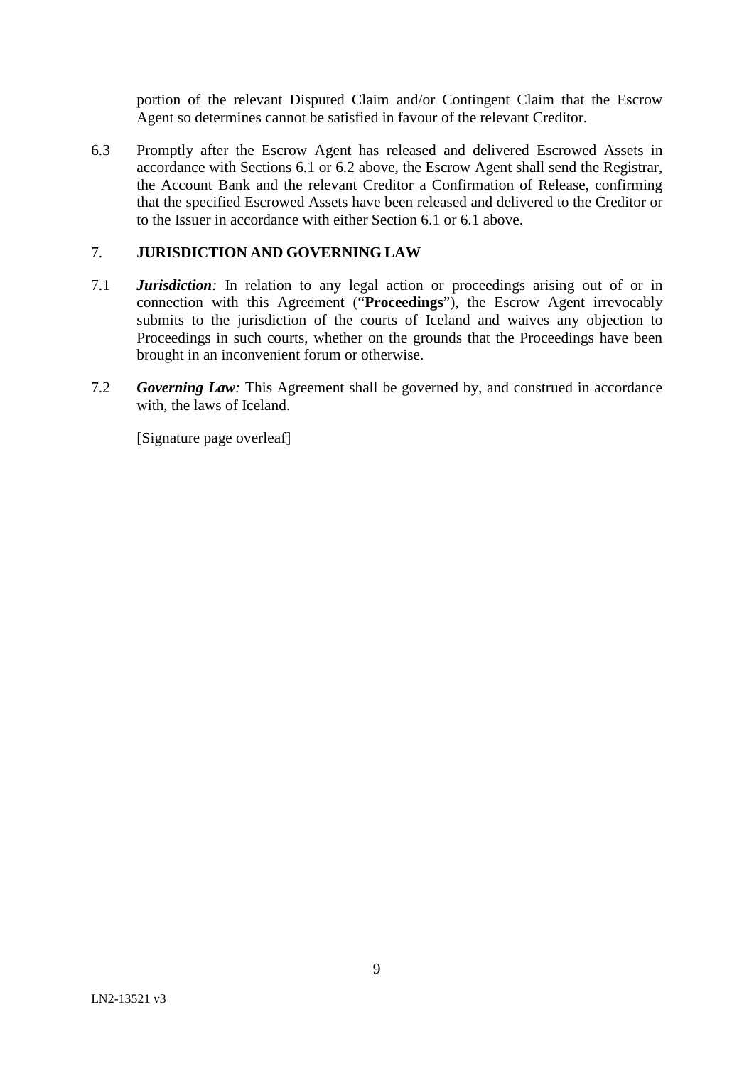portion of the relevant Disputed Claim and/or Contingent Claim that the Escrow Agent so determines cannot be satisfied in favour of the relevant Creditor.

6.3 Promptly after the Escrow Agent has released and delivered Escrowed Assets in accordance with Sections [6.1](#page-6-2) or [6.2](#page-8-1) above, the Escrow Agent shall send the Registrar, the Account Bank and the relevant Creditor a Confirmation of Release, confirming that the specified Escrowed Assets have been released and delivered to the Creditor or to the Issuer in accordance with either Section [6.1](#page-6-2) or [6.1](#page-6-2) above.

## 7. **JURISDICTION AND GOVERNING LAW**

- <span id="page-9-0"></span>7.1 *Jurisdiction:* In relation to any legal action or proceedings arising out of or in connection with this Agreement ("**Proceedings**"), the Escrow Agent irrevocably submits to the jurisdiction of the courts of Iceland and waives any objection to Proceedings in such courts, whether on the grounds that the Proceedings have been brought in an inconvenient forum or otherwise.
- 7.2 *Governing Law:* This Agreement shall be governed by, and construed in accordance with, the laws of Iceland.

[Signature page overleaf]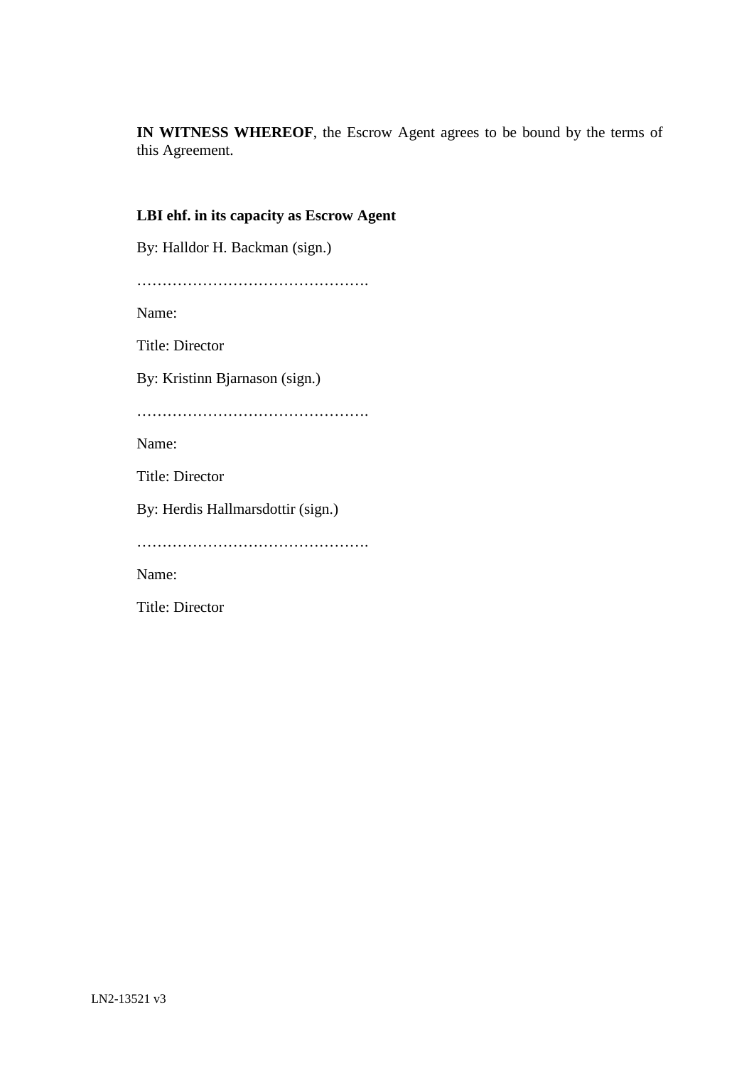**IN WITNESS WHEREOF**, the Escrow Agent agrees to be bound by the terms of this Agreement.

## **LBI ehf. in its capacity as Escrow Agent**

By: Halldor H. Backman (sign.)

………………………………………. Name: Title: Director By: Kristinn Bjarnason (sign.) ………………………………………. Name: Title: Director By: Herdis Hallmarsdottir (sign.) ………………………………………. Name:

Title: Director